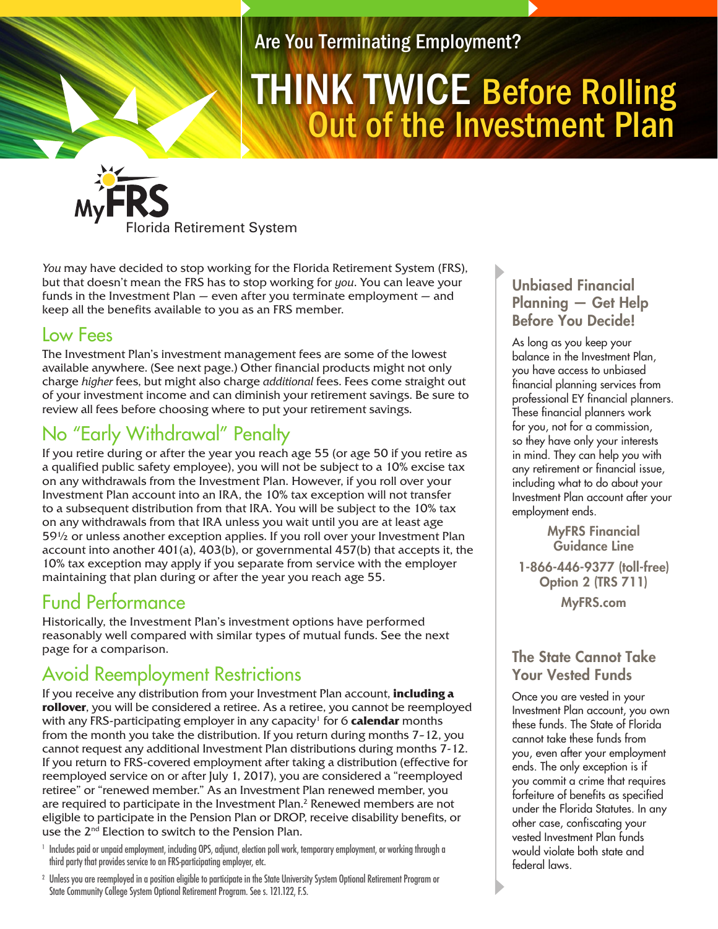Are You Terminating Employment?

# Out of the Investment Plan THINK TWICE Before Rolling

Florida Retirement System

*You* may have decided to stop working for the Florida Retirement System (FRS), but that doesn't mean the FRS has to stop working for *you*. You can leave your funds in the Investment Plan — even after you terminate employment — and keep all the benefits available to you as an FRS member.

### Low Fees

The Investment Plan's investment management fees are some of the lowest available anywhere. (See next page.) Other financial products might not only charge *higher* fees, but might also charge *additional* fees. Fees come straight out of your investment income and can diminish your retirement savings. Be sure to review all fees before choosing where to put your retirement savings.

# No "Early Withdrawal" Penalty

If you retire during or after the year you reach age 55 (or age 50 if you retire as a qualified public safety employee), you will not be subject to a 10% excise tax on any withdrawals from the Investment Plan. However, if you roll over your Investment Plan account into an IRA, the 10% tax exception will not transfer to a subsequent distribution from that IRA. You will be subject to the 10% tax on any withdrawals from that IRA unless you wait until you are at least age 59½ or unless another exception applies. If you roll over your Investment Plan account into another  $401(a)$ ,  $403(b)$ , or governmental  $457(b)$  that accepts it, the 10% tax exception may apply if you separate from service with the employer maintaining that plan during or after the year you reach age 55.

## Fund Performance

Historically, the Investment Plan's investment options have performed reasonably well compared with similar types of mutual funds. See the next page for a comparison.

# Avoid Reemployment Restrictions

If you receive any distribution from your Investment Plan account, **including a rollover**, you will be considered a retiree. As a retiree, you cannot be reemployed with any FRS-participating employer in any capacity<sup>1</sup> for 6 **calendar** months from the month you take the distribution. If you return during months 7–12, you cannot request any additional Investment Plan distributions during months 7-12. If you return to FRS-covered employment after taking a distribution (effective for reemployed service on or after July 1, 2017), you are considered a "reemployed retiree" or "renewed member." As an Investment Plan renewed member, you are required to participate in the Investment Plan.<sup>2</sup> Renewed members are not eligible to participate in the Pension Plan or DROP, receive disability benefits, or use the 2nd Election to switch to the Pension Plan.

<sup>1</sup> Includes paid or unpaid employment, including OPS, adjunct, election poll work, temporary employment, or working through a third party that provides service to an FRS-participating employer, etc.

<sup>2</sup> Unless you are reemployed in a position eligible to participate in the State University System Optional Retirement Program or State Community College System Optional Retirement Program. See s. 121.122, F.S.

#### Unbiased Financial Planning — Get Help Before You Decide!

As long as you keep your balance in the Investment Plan, you have access to unbiased financial planning services from professional EY financial planners. These financial planners work for you, not for a commission, so they have only your interests in mind. They can help you with any retirement or financial issue, including what to do about your Investment Plan account after your employment ends.

MyFRS Financial Guidance Line 1-866-446-9377 (toll-free) Option 2 (TRS 711) MyFRS.com

#### The State Cannot Take Your Vested Funds

Once you are vested in your Investment Plan account, you own these funds. The State of Florida cannot take these funds from you, even after your employment ends. The only exception is if you commit a crime that requires forfeiture of benefits as specified under the Florida Statutes. In any other case, confiscating your vested Investment Plan funds would violate both state and federal laws.